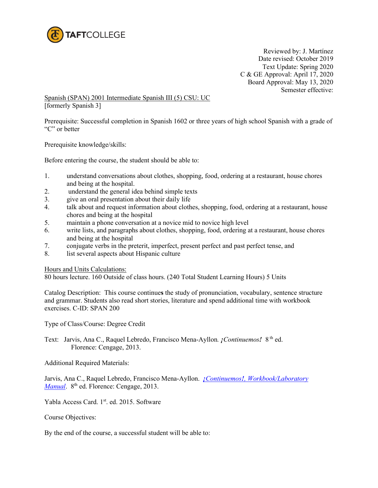

 Reviewed by: J. Martínez Date revised: October 2019 Text Update: Spring 2020 C & GE Approval: April 17, 2020 Board Approval: May 13, 2020 Semester effective:

Spanish (SPAN) 2001 Intermediate Spanish III (5) CSU: UC [formerly Spanish 3]

Prerequisite: Successful completion in Spanish 1602 or three years of high school Spanish with a grade of "C" or better

Prerequisite knowledge/skills:

Before entering the course, the student should be able to:

- 1. understand conversations about clothes, shopping, food, ordering at a restaurant, house chores and being at the hospital.
- 2. understand the general idea behind simple texts
- 3. give an oral presentation about their daily life
- 4. talk about and request information about clothes, shopping, food, ordering at a restaurant, house chores and being at the hospital
- 5. maintain a phone conversation at a novice mid to novice high level
- 6. write lists, and paragraphs about clothes, shopping, food, ordering at a restaurant, house chores and being at the hospital
- 7. conjugate verbs in the preterit, imperfect, present perfect and past perfect tense, and
- 8. list several aspects about Hispanic culture

Hours and Units Calculations:

80 hours lecture. 160 Outside of class hours. (240 Total Student Learning Hours) 5 Units

Catalog Description: This course continue**s** the study of pronunciation, vocabulary, sentence structure and grammar. Students also read short stories, literature and spend additional time with workbook exercises. C-ID: SPAN 200

Type of Class/Course: Degree Credit

Text: Jarvis, Ana C., Raquel Lebredo, Francisco Mena-Ayllon*. ¡Continuemos!* 8 th ed. Florence: Cengage, 2013.

Additional Required Materials:

Jarvis, Ana C., Raquel Lebredo, Francisco Mena-Ayllon. *¡Continuemos![, Workbook/Laboratory](https://www.amazon.com/Student-Activities-Lebredo-Mena-Ayllons-Continuemos/dp/1111839166/ref=pd_sbs_14_1/142-1610879-4128428?_encoding=UTF8&pd_rd_i=1111839166&pd_rd_r=fc0e7477-22ef-48a7-b083-ed1c0271328d&pd_rd_w=BGXKD&pd_rd_wg=KukyP&pf_rd_p=7cd8f929-4345-4bf2-a554-7d7588b3dd5f&pf_rd_r=5W6VACN49J2MDS4CJS17&psc=1&refRID=5W6VACN49J2MDS4CJS17)  [Manual](https://www.amazon.com/Student-Activities-Lebredo-Mena-Ayllons-Continuemos/dp/1111839166/ref=pd_sbs_14_1/142-1610879-4128428?_encoding=UTF8&pd_rd_i=1111839166&pd_rd_r=fc0e7477-22ef-48a7-b083-ed1c0271328d&pd_rd_w=BGXKD&pd_rd_wg=KukyP&pf_rd_p=7cd8f929-4345-4bf2-a554-7d7588b3dd5f&pf_rd_r=5W6VACN49J2MDS4CJS17&psc=1&refRID=5W6VACN49J2MDS4CJS17).* 8<sup>th</sup> ed. Florence: Cengage, 2013.

Yabla Access Card. 1<sup>st</sup>. ed. 2015. Software

Course Objectives:

By the end of the course, a successful student will be able to: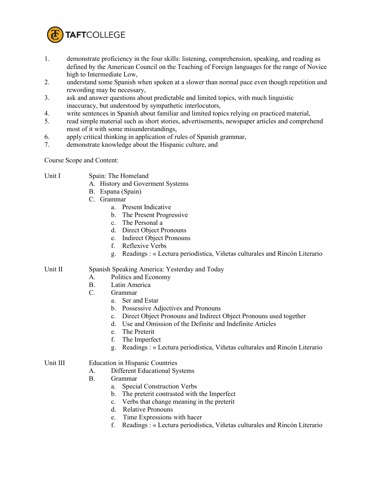

- 1. demonstrate proficiency in the four skills: listening, comprehension, speaking, and reading as defined by the American Council on the Teaching of Foreign languages for the range of Novice high to Intermediate Low,
- 2. understand some Spanish when spoken at a slower than normal pace even though repetition and rewording may be necessary,
- 3. ask and answer questions about predictable and limited topics, with much linguistic inaccuracy, but understood by sympathetic interlocutors,
- 4. write sentences in Spanish about familiar and limited topics relying on practiced material,
- 5. read simple material such as short stories, advertisements, newspaper articles and comprehend most of it with some misunderstandings,
- 6. apply critical thinking in application of rules of Spanish grammar,
- 7. demonstrate knowledge about the Hispanic culture, and

Course Scope and Content:

- Unit I Spain: The Homeland
	- A. History and Goverment Systems
	- B. Espana (Spain)
	- C. Grammar
		- a. Present Indicative
		- b. The Present Progressive
		- c. The Personal a
		- d. Direct Object Pronouns
		- e. Indirect Object Pronouns
		- f. Reflexive Verbs
		- g. Readings : « Lectura periodística, Viñetas culturales and Rincón Literario

## Unit II Spanish Speaking America: Yesterday and Today

- A. Politics and Economy
- B. Latin America
- C. Grammar
	- a. Ser and Estar
	- b. Possessive Adjectives and Pronouns
	- c. Direct Object Pronouns and Indirect Object Pronouns used together
	- d. Use and Omission of the Definite and Indefinite Articles
	- e. The Preterit
	- f. The Imperfect
	- g. Readings : « Lectura periodística, Viñetas culturales and Rincón Literario

## Unit III Education in Hispanic Countries

- A. Different Educational Systems
- B. Grammar
	- a. Special Construction Verbs
	- b. The preterit contrasted with the Imperfect
	- c. Verbs that change meaning in the preterit
	- d. Relative Pronouns
	- e. Time Expressions with hacer
	- f. Readings : « Lectura periodística, Viñetas culturales and Rincón Literario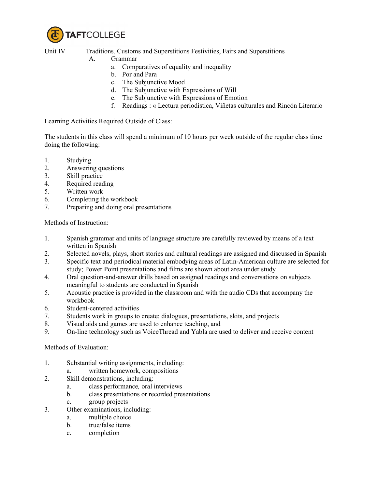

Unit IV Traditions, Customs and Superstitions Festivities, Fairs and Superstitions

## A. Grammar

- a. Comparatives of equality and inequality
- b. Por and Para
- c. The Subjunctive Mood
- d. The Subjunctive with Expressions of Will
- e. The Subjunctive with Expressions of Emotion
- f. Readings : « Lectura periodística, Viñetas culturales and Rincón Literario

Learning Activities Required Outside of Class:

The students in this class will spend a minimum of 10 hours per week outside of the regular class time doing the following:

- 1. Studying
- 2. Answering questions
- 3. Skill practice
- 4. Required reading
- 5. Written work
- 6. Completing the workbook
- 7. Preparing and doing oral presentations

Methods of Instruction:

- 1. Spanish grammar and units of language structure are carefully reviewed by means of a text written in Spanish
- 2. Selected novels, plays, short stories and cultural readings are assigned and discussed in Spanish
- 3. Specific text and periodical material embodying areas of Latin-American culture are selected for study; Power Point presentations and films are shown about area under study
- 4. Oral question-and-answer drills based on assigned readings and conversations on subjects meaningful to students are conducted in Spanish
- 5. Acoustic practice is provided in the classroom and with the audio CDs that accompany the workbook
- 6. Student-centered activities
- 7. Students work in groups to create: dialogues, presentations, skits, and projects
- 8. Visual aids and games are used to enhance teaching, and
- 9. On-line technology such as VoiceThread and Yabla are used to deliver and receive content

Methods of Evaluation:

- 1. Substantial writing assignments, including:
	- a. written homework, compositions
- 2. Skill demonstrations, including:
	- a. class performance*,* oral interviews
	- b. class presentations or recorded presentations
	- c. group projects
- 3. Other examinations, including:
	- a. multiple choice
	- b. true/false items
	- c. completion